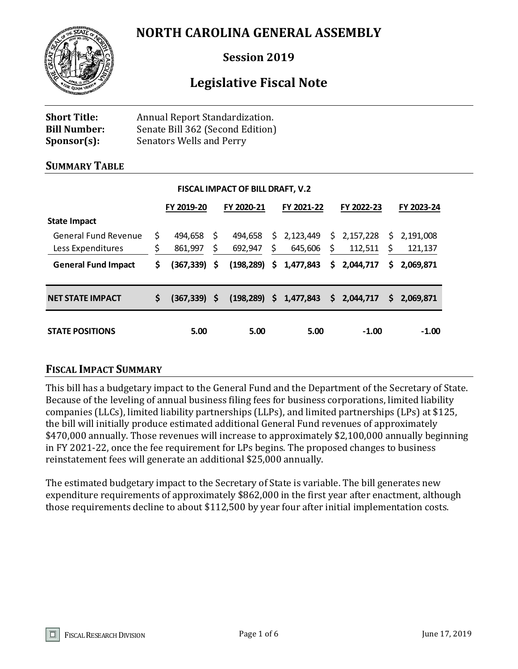## **NORTH CAROLINA GENERAL ASSEMBLY**



## **Session 2019**

# **Legislative Fiscal Note**

| <b>Short Title:</b> | Annual Report Standardization.   |
|---------------------|----------------------------------|
| <b>Bill Number:</b> | Senate Bill 362 (Second Edition) |
| $Sponsor(s)$ :      | <b>Senators Wells and Perry</b>  |

#### **SUMMARY TABLE**

| <b>FISCAL IMPACT OF BILL DRAFT, V.2</b>          |          |                    |          |                    |    |                           |     |                        |           |                      |
|--------------------------------------------------|----------|--------------------|----------|--------------------|----|---------------------------|-----|------------------------|-----------|----------------------|
|                                                  |          | FY 2019-20         |          | FY 2020-21         |    | FY 2021-22                |     | FY 2022-23             |           | FY 2023-24           |
| <b>State Impact</b>                              |          |                    |          |                    |    |                           |     |                        |           |                      |
| <b>General Fund Revenue</b><br>Less Expenditures | \$<br>\$ | 494,658<br>861,997 | \$<br>\$ | 494,658<br>692,947 | \$ | \$2,123,449<br>645,606    | \$  | \$2,157,228<br>112,511 | \$.<br>\$ | 2.191.008<br>121,137 |
| <b>General Fund Impact</b>                       | \$       | (367, 339)         | \$       | $(198, 289)$ \$    |    | 1,477,843                 | \$. | 2,044,717              | S.        | 2.069.871            |
| <b>NET STATE IMPACT</b>                          | \$.      | $(367, 339)$ \$    |          |                    |    | $(198, 289)$ \$ 1,477,843 |     | \$2,044,717            | S.        | 2.069.871            |
| <b>STATE POSITIONS</b>                           |          | 5.00               |          | 5.00               |    | 5.00                      |     | $-1.00$                |           | $-1.00$              |

## **FISCAL IMPACT SUMMARY**

This bill has a budgetary impact to the General Fund and the Department of the Secretary of State. Because of the leveling of annual business filing fees for business corporations, limited liability companies (LLCs), limited liability partnerships (LLPs), and limited partnerships (LPs) at \$125, the bill will initially produce estimated additional General Fund revenues of approximately \$470,000 annually. Those revenues will increase to approximately \$2,100,000 annually beginning in FY 2021-22, once the fee requirement for LPs begins. The proposed changes to business reinstatement fees will generate an additional \$25,000 annually.

The estimated budgetary impact to the Secretary of State is variable. The bill generates new expenditure requirements of approximately \$862,000 in the first year after enactment, although those requirements decline to about \$112,500 by year four after initial implementation costs.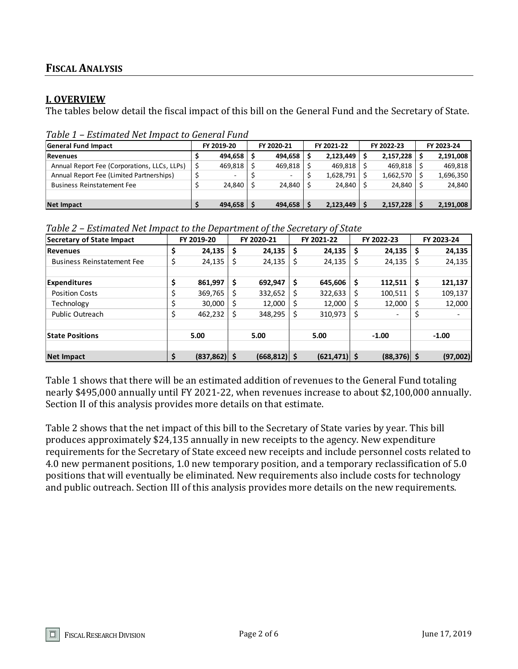## **FISCAL ANALYSIS**

#### **I. OVERVIEW**

The tables below detail the fiscal impact of this bill on the General Fund and the Secretary of State.

| <b>General Fund Impact</b>                   |  | FY 2019-20     |  | FY 2020-21 |  | FY 2021-22 | FY 2022-23 |           | FY 2023-24 |           |  |  |
|----------------------------------------------|--|----------------|--|------------|--|------------|------------|-----------|------------|-----------|--|--|
| <b>Revenues</b>                              |  | $494.658$ S    |  | 494.658    |  | 2,123,449  |            | 2,157,228 |            | 2,191,008 |  |  |
| Annual Report Fee (Corporations, LLCs, LLPs) |  | $469,818$   \$ |  | 469,818    |  | 469.818    |            | 469.818   |            | 469,818   |  |  |
| Annual Report Fee (Limited Partnerships)     |  | -              |  |            |  | 1,628,791  |            | 1,662,570 |            | 1,696,350 |  |  |
| <b>Business Reinstatement Fee</b>            |  | $24.840$ S     |  | 24.840     |  | 24.840     |            | 24.840    |            | 24,840    |  |  |
|                                              |  |                |  |            |  |            |            |           |            |           |  |  |
| <b>Net Impact</b>                            |  | $494,658$   \$ |  | 494,658    |  | 2,123,449  |            | 2,157,228 |            | 2,191,008 |  |  |

*Table 1 – Estimated Net Impact to General Fund*

*Table 2 – Estimated Net Impact to the Department of the Secretary of State* 

| Secretary of State Impact         |    | FY 2019-20      |    | FY 2020-21      | FY 2021-22      |     | FY 2022-23     | FY 2023-24               |
|-----------------------------------|----|-----------------|----|-----------------|-----------------|-----|----------------|--------------------------|
| <b>Revenues</b>                   | \$ | 24,135          | S  | 24,135          | \$<br>24,135    | \$  | 24,135         | \$<br>24,135             |
| <b>Business Reinstatement Fee</b> | \$ | 24,135          | \$ | 24,135          | \$<br>24,135    | \$  | 24,135         | \$<br>24,135             |
| <b>Expenditures</b>               | \$ | 861,997         | \$ | 692,947         | \$<br>645,606   | \$  | 112,511        | \$<br>121,137            |
| <b>Position Costs</b>             | \$ | 369,765         |    | 332,652         | 322,633         | \$  | 100,511        | \$<br>109,137            |
| Technology                        | \$ | 30.000          | S  | 12,000          | 12.000          | \$. | 12,000         | 12,000                   |
| Public Outreach                   | \$ | 462,232         |    | 348,295         | \$<br>310,973   | \$  |                | $\overline{\phantom{0}}$ |
| <b>State Positions</b>            |    | 5.00            |    | 5.00            | 5.00            |     | $-1.00$        | $-1.00$                  |
| <b>Net Impact</b>                 | Ś  | $(837, 862)$ \$ |    | $(668, 812)$ \$ | $(621, 471)$ \$ |     | $(88, 376)$ \$ | (97,002)                 |

Table 1 shows that there will be an estimated addition of revenues to the General Fund totaling nearly \$495,000 annually until FY 2021-22, when revenues increase to about \$2,100,000 annually. Section II of this analysis provides more details on that estimate.

Table 2 shows that the net impact of this bill to the Secretary of State varies by year. This bill produces approximately \$24,135 annually in new receipts to the agency. New expenditure requirements for the Secretary of State exceed new receipts and include personnel costs related to 4.0 new permanent positions, 1.0 new temporary position, and a temporary reclassification of 5.0 positions that will eventually be eliminated. New requirements also include costs for technology and public outreach. Section III of this analysis provides more details on the new requirements.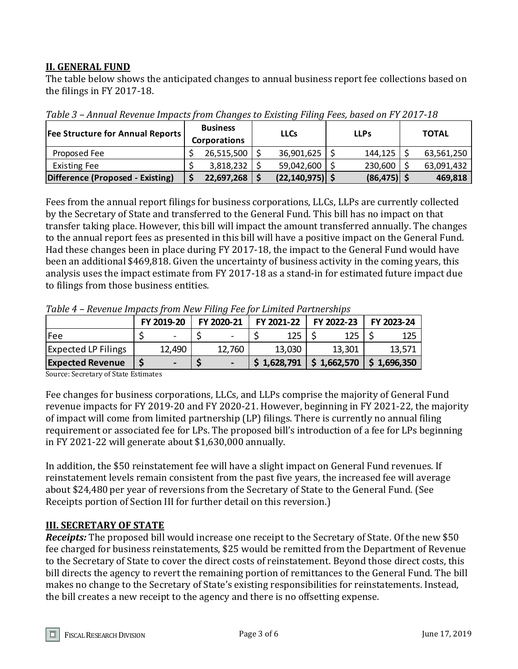## **II. GENERAL FUND**

The table below shows the anticipated changes to annual business report fee collections based on the filings in FY 2017-18.

| <b>Fee Structure for Annual Reports</b> | <b>Business</b><br><b>Corporations</b> | <b>LLCs</b>         | <b>LLPs</b>    | <b>TOTAL</b> |            |  |
|-----------------------------------------|----------------------------------------|---------------------|----------------|--------------|------------|--|
| Proposed Fee                            | 26,515,500                             | 36,901,625          | 144,125        |              | 63,561,250 |  |
| <b>Existing Fee</b>                     | 3,818,232                              | 59,042,600          | 230,600        |              | 63,091,432 |  |
| Difference (Proposed - Existing)        | 22,697,268                             | $(22, 140, 975)$ \$ | $(86, 475)$ \$ |              | 469,818    |  |

*Table 3 – Annual Revenue Impacts from Changes to Existing Filing Fees, based on FY 2017-18*

Fees from the annual report filings for business corporations, LLCs, LLPs are currently collected by the Secretary of State and transferred to the General Fund. This bill has no impact on that transfer taking place. However, this bill will impact the amount transferred annually. The changes to the annual report fees as presented in this bill will have a positive impact on the General Fund. Had these changes been in place during FY 2017-18, the impact to the General Fund would have been an additional \$469,818. Given the uncertainty of business activity in the coming years, this analysis uses the impact estimate from FY 2017-18 as a stand-in for estimated future impact due to filings from those business entities.

| Tuble 4 – Revenue Impucts from New Phing Pee for Limited Furtherships |  |                |  |            |  |                                                                         |  |        |  |            |
|-----------------------------------------------------------------------|--|----------------|--|------------|--|-------------------------------------------------------------------------|--|--------|--|------------|
|                                                                       |  | FY 2019-20     |  | FY 2020-21 |  | FY 2021-22 FY 2022-23                                                   |  |        |  | FY 2023-24 |
| lFee                                                                  |  |                |  |            |  | 125                                                                     |  | 125    |  | 125        |
| <b>Expected LP Filings</b>                                            |  | 12,490         |  | 12,760     |  | 13,030                                                                  |  | 13,301 |  | 13.571     |
| <b>Expected Revenue</b>                                               |  | $\blacksquare$ |  | $\sim$     |  | $\frac{1}{2}$ 1,628,791 $\frac{1}{2}$ 1,662,570 $\frac{1}{2}$ 1,696,350 |  |        |  |            |

*Table 4 – Revenue Impacts from New Filing Fee for Limited Partnerships*

Source: Secretary of State Estimates

Fee changes for business corporations, LLCs, and LLPs comprise the majority of General Fund revenue impacts for FY 2019-20 and FY 2020-21. However, beginning in FY 2021-22, the majority of impact will come from limited partnership (LP) filings. There is currently no annual filing requirement or associated fee for LPs. The proposed bill's introduction of a fee for LPs beginning in FY 2021-22 will generate about \$1,630,000 annually.

In addition, the \$50 reinstatement fee will have a slight impact on General Fund revenues. If reinstatement levels remain consistent from the past five years, the increased fee will average about \$24,480 per year of reversions from the Secretary of State to the General Fund. (See Receipts portion of Section III for further detail on this reversion.)

## **III. SECRETARY OF STATE**

*Receipts:* The proposed bill would increase one receipt to the Secretary of State. Of the new \$50 fee charged for business reinstatements, \$25 would be remitted from the Department of Revenue to the Secretary of State to cover the direct costs of reinstatement. Beyond those direct costs, this bill directs the agency to revert the remaining portion of remittances to the General Fund. The bill makes no change to the Secretary of State's existing responsibilities for reinstatements. Instead, the bill creates a new receipt to the agency and there is no offsetting expense.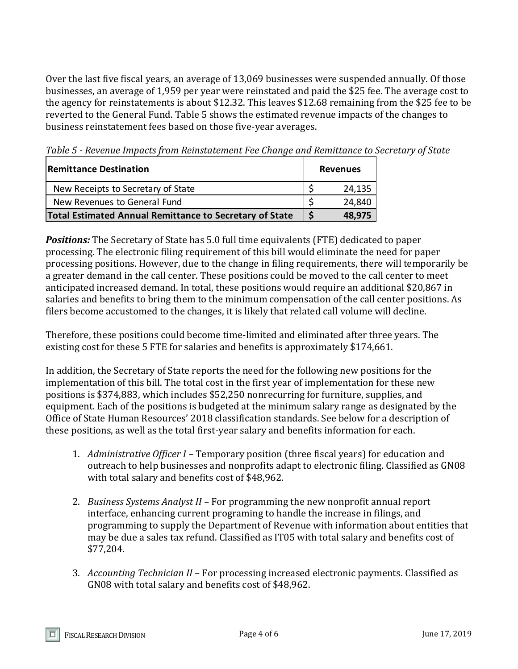Over the last five fiscal years, an average of 13,069 businesses were suspended annually. Of those businesses, an average of 1,959 per year were reinstated and paid the \$25 fee. The average cost to the agency for reinstatements is about \$12.32. This leaves \$12.68 remaining from the \$25 fee to be reverted to the General Fund. Table 5 shows the estimated revenue impacts of the changes to business reinstatement fees based on those five-year averages.

**Remittance Destination Revenues Revenues** New Receipts to Secretary of State  $\begin{array}{ccc} \vert & \zeta & \vert & 24,135 \end{array}$ New Revenues to General Fund  $\begin{array}{c} \mid \text{S} \\ \text{24,840} \end{array}$ **Total Estimated Annual Remittance to Secretary of State \$ 48,975**

*Table 5 - Revenue Impacts from Reinstatement Fee Change and Remittance to Secretary of State*

*Positions:* The Secretary of State has 5.0 full time equivalents (FTE) dedicated to paper processing. The electronic filing requirement of this bill would eliminate the need for paper processing positions. However, due to the change in filing requirements, there will temporarily be a greater demand in the call center. These positions could be moved to the call center to meet anticipated increased demand. In total, these positions would require an additional \$20,867 in salaries and benefits to bring them to the minimum compensation of the call center positions. As filers become accustomed to the changes, it is likely that related call volume will decline.

Therefore, these positions could become time-limited and eliminated after three years. The existing cost for these 5 FTE for salaries and benefits is approximately \$174,661.

In addition, the Secretary of State reports the need for the following new positions for the implementation of this bill. The total cost in the first year of implementation for these new positions is \$374,883, which includes \$52,250 nonrecurring for furniture, supplies, and equipment. Each of the positions is budgeted at the minimum salary range as designated by the Office of State Human Resources' 2018 classification standards. See below for a description of these positions, as well as the total first-year salary and benefits information for each.

- 1. *Administrative Officer I –* Temporary position (three fiscal years) for education and outreach to help businesses and nonprofits adapt to electronic filing. Classified as GN08 with total salary and benefits cost of \$48,962.
- 2. *Business Systems Analyst II –* For programming the new nonprofit annual report interface, enhancing current programing to handle the increase in filings, and programming to supply the Department of Revenue with information about entities that may be due a sales tax refund. Classified as IT05 with total salary and benefits cost of \$77,204.
- 3. *Accounting Technician II* For processing increased electronic payments. Classified as GN08 with total salary and benefits cost of \$48,962.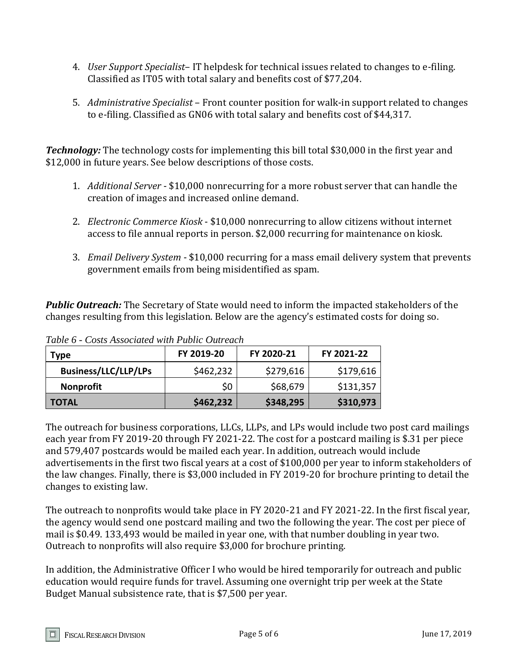- 4. *User Support Specialist* IT helpdesk for technical issues related to changes to e-filing. Classified as IT05 with total salary and benefits cost of \$77,204.
- 5. *Administrative Specialist* Front counter position for walk-in support related to changes to e-filing. Classified as GN06 with total salary and benefits cost of \$44,317.

*Technology:* The technology costs for implementing this bill total \$30,000 in the first year and \$12,000 in future years. See below descriptions of those costs.

- 1. *Additional Server* \$10,000 nonrecurring for a more robust server that can handle the creation of images and increased online demand.
- 2. *Electronic Commerce Kiosk* \$10,000 nonrecurring to allow citizens without internet access to file annual reports in person. \$2,000 recurring for maintenance on kiosk.
- 3. *Email Delivery System* \$10,000 recurring for a mass email delivery system that prevents government emails from being misidentified as spam.

*Public Outreach:* The Secretary of State would need to inform the impacted stakeholders of the changes resulting from this legislation. Below are the agency's estimated costs for doing so.

| Type                        | FY 2019-20 | FY 2020-21 | FY 2021-22 |
|-----------------------------|------------|------------|------------|
| <b>Business/LLC/LLP/LPs</b> | \$462,232  | \$279,616  | \$179,616  |
| <b>Nonprofit</b>            | \$0        | \$68,679   | \$131,357  |
| <b>TOTAL</b>                | \$462,232  | \$348,295  | \$310,973  |

*Table 6 - Costs Associated with Public Outreach*

The outreach for business corporations, LLCs, LLPs, and LPs would include two post card mailings each year from FY 2019-20 through FY 2021-22. The cost for a postcard mailing is \$.31 per piece and 579,407 postcards would be mailed each year. In addition, outreach would include advertisements in the first two fiscal years at a cost of \$100,000 per year to inform stakeholders of the law changes. Finally, there is \$3,000 included in FY 2019-20 for brochure printing to detail the changes to existing law.

The outreach to nonprofits would take place in FY 2020-21 and FY 2021-22. In the first fiscal year, the agency would send one postcard mailing and two the following the year. The cost per piece of mail is \$0.49. 133,493 would be mailed in year one, with that number doubling in year two. Outreach to nonprofits will also require \$3,000 for brochure printing.

In addition, the Administrative Officer I who would be hired temporarily for outreach and public education would require funds for travel. Assuming one overnight trip per week at the State Budget Manual subsistence rate, that is \$7,500 per year.